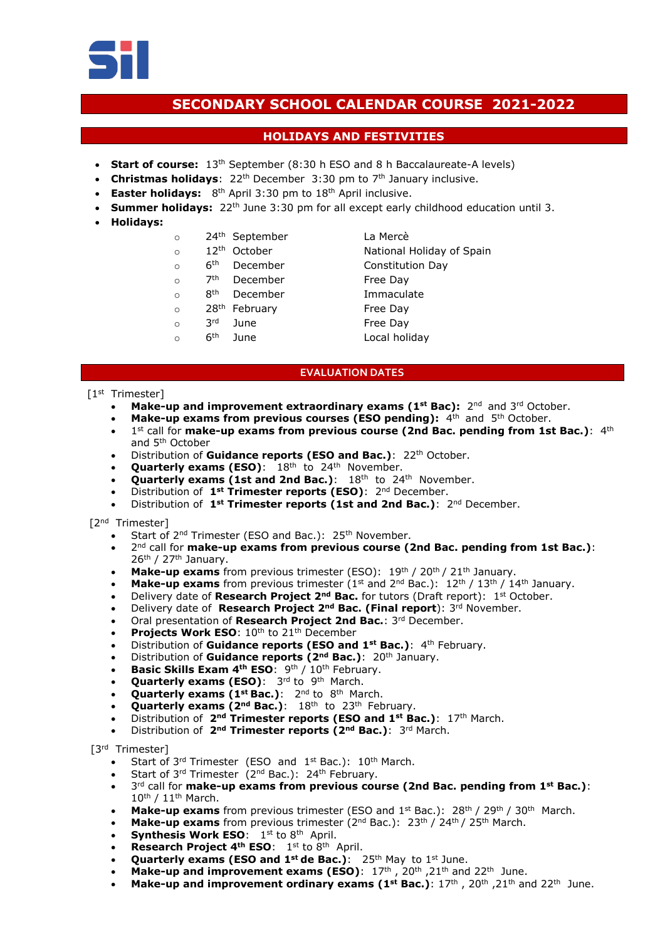

# **SECONDARY SCHOOL CALENDAR COURSE 2021-2022**

## **HOLIDAYS AND FESTIVITIES**

- **Start of course:** 13<sup>th</sup> September (8:30 h ESO and 8 h Baccalaureate-A levels)
- Christmas holidays: 22<sup>th</sup> December 3:30 pm to 7<sup>th</sup> January inclusive.
- **Easter holidays:** 8<sup>th</sup> April 3:30 pm to 18<sup>th</sup> April inclusive.
- **Summer holidays:** 22<sup>th</sup> June 3:30 pm for all except early childhood education until 3.
- **Holidays:**
- o 24 th September La Mercè
- 
- $\circ$  6<sup>th</sup>
- $\Omega$  $7<sup>th</sup>$ December Free Day
- o 8 th
- o 28<sup>th</sup> February **Free Day**
- o 3 rd
- $\circ$  6<sup>th</sup>
- o 12<sup>th</sup> October National Holiday of Spain December Constitution Day December **Immaculate** June Free Day June Local holiday

### **EVALUATION DATES**

#### [1<sup>st</sup> Trimester]

- **Make-up and improvement extraordinary exams (1<sup>st</sup> Bac): 2<sup>nd</sup> and 3<sup>rd</sup> October.**
- **Make-up exams from previous courses (ESO pending):** 4<sup>th</sup> and 5<sup>th</sup> October.
- 1<sup>st</sup> call for make-up exams from previous course (2nd Bac. pending from 1st Bac.): 4<sup>th</sup> and 5th October
- Distribution of **Guidance reports (ESO and Bac.)**: 22<sup>th</sup> October.
- **Quarterly exams (ESO)**: 18<sup>th</sup> to 24<sup>th</sup> November.
- **Quarterly exams (1st and 2nd Bac.):** 18<sup>th</sup> to 24<sup>th</sup> November.
- Distribution of **1st Trimester reports (ESO)**: 2 nd December.
- Distribution of **1st Trimester reports (1st and 2nd Bac.)**: 2 nd December.

#### [2<sup>nd</sup> Trimester]

- Start of 2<sup>nd</sup> Trimester (ESO and Bac.): 25<sup>th</sup> November.
- 2 nd call for **make-up exams from previous course (2nd Bac. pending from 1st Bac.)**: 26<sup>th</sup> / 27<sup>th</sup> January.
- Make-up exams from previous trimester (ESO): 19<sup>th</sup> / 20<sup>th</sup> / 21<sup>th</sup> January.
- Make-up exams from previous trimester (1<sup>st</sup> and 2<sup>nd</sup> Bac.): 12<sup>th</sup> / 13<sup>th</sup> / 14<sup>th</sup> January.
- Delivery date of **Research Project 2<sup>nd</sup> Bac.** for tutors (Draft report): 1<sup>st</sup> October.
- Delivery date of **Research Project 2nd Bac. (Final report**): 3 rd November.
- Oral presentation of **Research Project 2nd Bac.**: 3 rd December.
- Projects Work ESO: 10<sup>th</sup> to 21<sup>th</sup> December
- Distribution of **Guidance reports (ESO and 1st Bac.)**: 4 th February.
- Distribution of **Guidance reports (2nd Bac.)**: 20 th January.
- **Basic Skills Exam 4<sup>th</sup> ESO**: 9<sup>th</sup> / 10<sup>th</sup> February.
- **Quarterly exams (ESO)**: 3rd to 9<sup>th</sup> March.
- **Quarterly exams (1<sup>st</sup> Bac.)**: 2<sup>nd</sup> to 8<sup>th</sup> March.
- **Quarterly exams (2<sup>nd</sup> Bac.)**: 18<sup>th</sup> to 23<sup>th</sup> February.
- Distribution of **2nd Trimester reports (ESO and 1st Bac.)**: 17 th March.
- Distribution of **2nd Trimester reports (2nd Bac.)**: 3 rd March.

[3rd Trimester]

- Start of 3<sup>rd</sup> Trimester (ESO and 1<sup>st</sup> Bac.): 10<sup>th</sup> March.
- Start of 3<sup>rd</sup> Trimester (2<sup>nd</sup> Bac.): 24<sup>th</sup> February.
- 3 rd call for **make-up exams from previous course (2nd Bac. pending from 1st Bac.)**:  $10^{\text{th}}$  /  $11^{\text{th}}$  March.
- **Make-up exams** from previous trimester (ESO and  $1^{st}$  Bac.):  $28^{th}$  /  $29^{th}$  /  $30^{th}$  March.
- **Make-up exams** from previous trimester  $(2^{nd}$  Bac.):  $23^{th}$  /  $24^{th}$  /  $25^{th}$  March.
- **Synthesis Work ESO**:  $1^{st}$  to  $8^{th}$  April.
- Research Project 4<sup>th</sup> ESO: 1<sup>st</sup> to 8<sup>th</sup> April.
- **Quarterly exams (ESO and 1st de Bac.)**: 25 th May to 1 st June.
- Make-up and improvement exams (ESO):  $17<sup>th</sup>$ ,  $20<sup>th</sup>$ ,  $21<sup>th</sup>$  and  $22<sup>th</sup>$  June.
- **Make-up and improvement ordinary exams (1st Bac.): 17<sup>th</sup>, 20<sup>th</sup>, 21<sup>th</sup> and 22<sup>th</sup> June.**